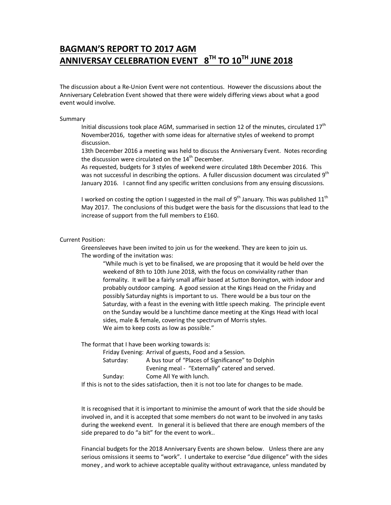# **BAGMAN'S REPORT TO 2017 AGM ANNIVERSAY CELEBRATION EVENT 8TH TO 10TH JUNE 2018**

The discussion about a Re-Union Event were not contentious. However the discussions about the Anniversary Celebration Event showed that there were widely differing views about what a good event would involve.

#### Summary

Initial discussions took place AGM, summarised in section 12 of the minutes, circulated  $17<sup>th</sup>$ November2016, together with some ideas for alternative styles of weekend to prompt discussion.

13th December 2016 a meeting was held to discuss the Anniversary Event. Notes recording the discussion were circulated on the 14<sup>th</sup> December.

As requested, budgets for 3 styles of weekend were circulated 18th December 2016. This was not successful in describing the options. A fuller discussion document was circulated 9<sup>th</sup> January 2016. I cannot find any specific written conclusions from any ensuing discussions.

I worked on costing the option I suggested in the mail of  $9<sup>th</sup>$  January. This was published  $11<sup>th</sup>$ May 2017. The conclusions of this budget were the basis for the discussions that lead to the increase of support from the full members to £160.

Current Position:

Greensleeves have been invited to join us for the weekend. They are keen to join us. The wording of the invitation was:

"While much is yet to be finalised, we are proposing that it would be held over the weekend of 8th to 10th June 2018, with the focus on conviviality rather than formality. It will be a fairly small affair based at Sutton Bonington, with indoor and probably outdoor camping. A good session at the Kings Head on the Friday and possibly Saturday nights is important to us. There would be a bus tour on the Saturday, with a feast in the evening with little speech making. The principle event on the Sunday would be a lunchtime dance meeting at the Kings Head with local sides, male & female, covering the spectrum of Morris styles. We aim to keep costs as low as possible."

The format that I have been working towards is:

|           | Friday Evening: Arrival of guests, Food and a Session. |
|-----------|--------------------------------------------------------|
| Saturday: | A bus tour of "Places of Significance" to Dolphin      |
|           | Evening meal - "Externally" catered and served.        |
| Sunday:   | Come All Ye with lunch.                                |
|           |                                                        |

If this is not to the sides satisfaction, then it is not too late for changes to be made.

It is recognised that it is important to minimise the amount of work that the side should be involved in, and it is accepted that some members do not want to be involved in any tasks during the weekend event. In general it is believed that there are enough members of the side prepared to do "a bit" for the event to work..

Financial budgets for the 2018 Anniversary Events are shown below. Unless there are any serious omissions it seems to "work". I undertake to exercise "due diligence" with the sides money , and work to achieve acceptable quality without extravagance, unless mandated by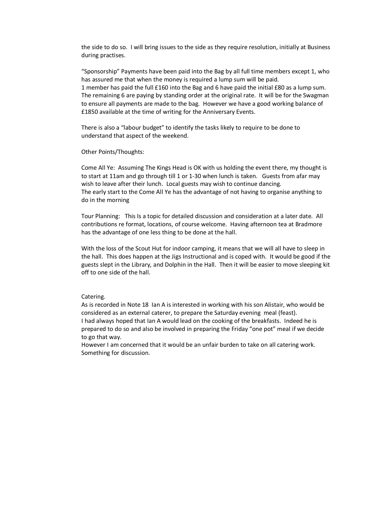the side to do so. I will bring issues to the side as they require resolution, initially at Business during practises.

"Sponsorship" Payments have been paid into the Bag by all full time members except 1, who has assured me that when the money is required a lump sum will be paid. 1 member has paid the full £160 into the Bag and 6 have paid the initial £80 as a lump sum. The remaining 6 are paying by standing order at the original rate. It will be for the Swagman to ensure all payments are made to the bag. However we have a good working balance of £1850 available at the time of writing for the Anniversary Events.

There is also a "labour budget" to identify the tasks likely to require to be done to understand that aspect of the weekend.

Other Points/Thoughts:

Come All Ye: Assuming The Kings Head is OK with us holding the event there, my thought is to start at 11am and go through till 1 or 1-30 when lunch is taken. Guests from afar may wish to leave after their lunch. Local guests may wish to continue dancing. The early start to the Come All Ye has the advantage of not having to organise anything to do in the morning

Tour Planning: This Is a topic for detailed discussion and consideration at a later date. All contributions re format, locations, of course welcome. Having afternoon tea at Bradmore has the advantage of one less thing to be done at the hall.

With the loss of the Scout Hut for indoor camping, it means that we will all have to sleep in the hall. This does happen at the Jigs Instructional and is coped with. It would be good if the guests slept in the Library, and Dolphin in the Hall. Then it will be easier to move sleeping kit off to one side of the hall.

#### Catering.

As is recorded in Note 18 Ian A is interested in working with his son Alistair, who would be considered as an external caterer, to prepare the Saturday evening meal (feast). I had always hoped that Ian A would lead on the cooking of the breakfasts. Indeed he is prepared to do so and also be involved in preparing the Friday "one pot" meal if we decide to go that way.

However I am concerned that it would be an unfair burden to take on all catering work. Something for discussion.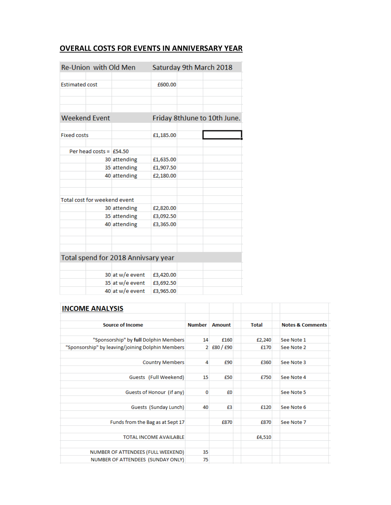### **OVERALL COSTS FOR EVENTS IN ANNIVERSARY YEAR**

| Re-Union with Old Men               |                 |           | Saturday 9th March 2018      |
|-------------------------------------|-----------------|-----------|------------------------------|
|                                     |                 |           |                              |
| <b>Estimated cost</b>               |                 | £600.00   |                              |
|                                     |                 |           |                              |
|                                     |                 |           |                              |
|                                     |                 |           |                              |
| <b>Weekend Event</b>                |                 |           | Friday 8thJune to 10th June. |
|                                     |                 |           |                              |
| <b>Fixed costs</b>                  |                 | £1,185.00 |                              |
|                                     |                 |           |                              |
| Per head costs = $£54.50$           |                 |           |                              |
|                                     | 30 attending    | £1,635.00 |                              |
|                                     | 35 attending    | £1,907.50 |                              |
|                                     | 40 attending    | £2,180.00 |                              |
|                                     |                 |           |                              |
|                                     |                 |           |                              |
| Total cost for weekend event        |                 |           |                              |
|                                     | 30 attending    | £2,820.00 |                              |
|                                     | 35 attending    | £3,092.50 |                              |
|                                     | 40 attending    | £3,365.00 |                              |
|                                     |                 |           |                              |
|                                     |                 |           |                              |
|                                     |                 |           |                              |
| Total spend for 2018 Annivsary year |                 |           |                              |
|                                     |                 |           |                              |
|                                     | 30 at w/e event | £3,420.00 |                              |
|                                     | 35 at w/e event | £3,692.50 |                              |
|                                     | 40 at w/e event | £3,965.00 |                              |

| <b>INCOME ANALYSIS</b>                           |               |                                |              |                             |
|--------------------------------------------------|---------------|--------------------------------|--------------|-----------------------------|
|                                                  |               |                                |              |                             |
| <b>Source of Income</b>                          | <b>Number</b> | Amount                         | <b>Total</b> | <b>Notes &amp; Comments</b> |
|                                                  |               |                                |              |                             |
| "Sponsorship" by full Dolphin Members            | 14            | £160                           | £2,240       | See Note 1                  |
| "Sponsorship" by leaving/joining Dolphin Members |               | $2 \, \text{f}80 / \text{f}90$ | £170         | See Note 2                  |
|                                                  |               |                                |              |                             |
| <b>Country Members</b>                           | 4             | £90                            | £360         | See Note 3                  |
|                                                  |               |                                |              |                             |
| Guests (Full Weekend)                            | 15            | £50                            | £750         | See Note 4                  |
|                                                  |               |                                |              |                             |
| Guests of Honour (if any)                        | 0             | £0                             |              | See Note 5                  |
|                                                  |               |                                |              |                             |
| Guests (Sunday Lunch)                            | 40            | £3                             | £120         | See Note 6                  |
|                                                  |               |                                |              |                             |
| Funds from the Bag as at Sept 17                 |               | £870                           | £870         | See Note 7                  |
|                                                  |               |                                |              |                             |
| <b>TOTAL INCOME AVAILABLE</b>                    |               |                                | £4,510       |                             |
|                                                  |               |                                |              |                             |
| NUMBER OF ATTENDEES (FULL WEEKEND)               | 35            |                                |              |                             |
| NUMBER OF ATTENDEES (SUNDAY ONLY)                | 75            |                                |              |                             |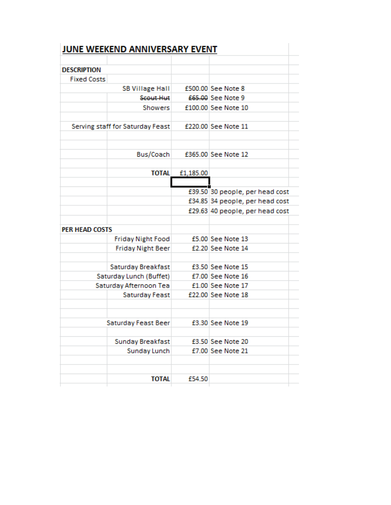|                       | JUNE WEEKEND ANNIVERSARY EVENT   |           |                                 |
|-----------------------|----------------------------------|-----------|---------------------------------|
| <b>DESCRIPTION</b>    |                                  |           |                                 |
| <b>Fixed Costs</b>    |                                  |           |                                 |
|                       | <b>SB Village Hall</b>           |           | £500.00 See Note 8              |
|                       | Scout Hut                        |           | £65.00 See Note 9               |
|                       | Showers                          |           | £100.00 See Note 10             |
|                       |                                  |           |                                 |
|                       | Serving staff for Saturday Feast |           | £220.00 See Note 11             |
|                       | Bus/Coach                        |           | £365.00 See Note 12             |
|                       |                                  |           |                                 |
|                       | <b>TOTAL</b>                     | £1,185.00 |                                 |
|                       |                                  |           |                                 |
|                       |                                  |           | £39.50 30 people, per head cost |
|                       |                                  |           | £34.85 34 people, per head cost |
|                       |                                  |           | £29.63 40 people, per head cost |
| <b>PER HEAD COSTS</b> |                                  |           |                                 |
|                       | <b>Friday Night Food</b>         |           | £5.00 See Note 13               |
|                       | <b>Friday Night Beer</b>         |           | £2.20 See Note 14               |
|                       | Saturday Breakfast               |           | £3.50 See Note 15               |
|                       | Saturday Lunch (Buffet)          |           | £7.00 See Note 16               |
|                       | Saturday Afternoon Tea           |           | £1.00 See Note 17               |
|                       | Saturday Feast                   |           | £22.00 See Note 18              |
|                       | Saturday Feast Beer              |           | £3.30 See Note 19               |
|                       |                                  |           |                                 |
|                       | Sunday Breakfast                 |           | £3.50 See Note 20               |
|                       | Sunday Lunch                     |           | £7.00 See Note 21               |
|                       | <b>TOTAL</b>                     | £54.50    |                                 |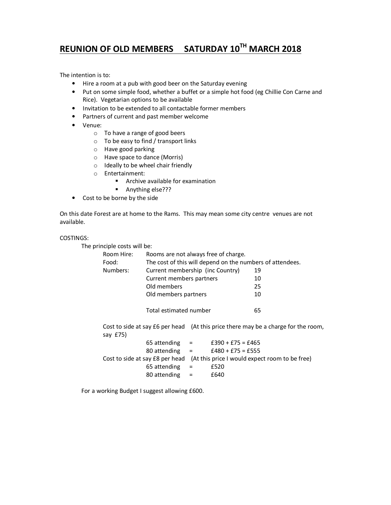# **REUNION OF OLD MEMBERS SATURDAY 10TH MARCH 2018**

The intention is to:

- Hire a room at a pub with good beer on the Saturday evening
- Put on some simple food, whether a buffet or a simple hot food (eg Chillie Con Carne and Rice). Vegetarian options to be available
- Invitation to be extended to all contactable former members
- Partners of current and past member welcome
- Venue:
	- o To have a range of good beers
	- o To be easy to find / transport links
	- o Have good parking
	- o Have space to dance (Morris)
	- o Ideally to be wheel chair friendly
	- o Entertainment:
		- **Archive available for examination**
		- Anything else???
- Cost to be borne by the side

On this date Forest are at home to the Rams. This may mean some city centre venues are not available.

#### COSTINGS:

The principle costs will be:

| Room Hire: | Rooms are not always free of charge.                                               |    |
|------------|------------------------------------------------------------------------------------|----|
| Food:      | The cost of this will depend on the numbers of attendees.                          |    |
| Numbers:   | Current membership (inc Country)                                                   | 19 |
|            | Current members partners                                                           | 10 |
|            | Old members                                                                        | 25 |
|            | Old members partners                                                               | 10 |
|            |                                                                                    |    |
|            | Total estimated number                                                             | 65 |
|            |                                                                                    |    |
|            | Cost to side at say £6 per head (At this price there may be a charge for the room, |    |
| say £75)   |                                                                                    |    |
|            | 65 attending<br>$£390 + £75 = £465$<br>$\qquad \qquad =$                           |    |

80 attending =  $£480 + £75 = £555$ Cost to side at say £8 per head (At this price I would expect room to be free) 65 attending  $=$  £520 80 attending  $=$  £640

For a working Budget I suggest allowing £600.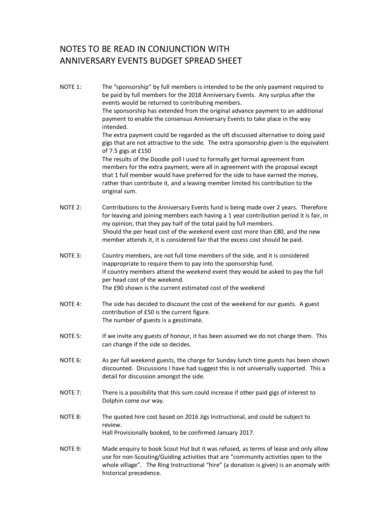# NOTES TO BE READ IN CONJUNCTION WITH ANNIVERSARY EVENTS BUDGET SPREAD SHEET

NOTE 1: The "sponsorship" by full members is intended to be the only payment required to be paid by full members for the 2018 Anniversary Events. Any surplus after the events would be returned to contributing members. The sponsorship has extended from the original advance payment to an additional payment to enable the consensus Anniversary Events to take place in the way intended. The extra payment could be regarded as the oft discussed alternative to doing paid gigs that are not attractive to the side. The extra sponsorship given is the equivalent of 7.5 gigs at £150 The results of the Doodle poll I used to formally get formal agreement from members for the extra payment, were all in agreement with the proposal except that 1 full member would have preferred for the side to have earned the money, rather than contribute it, and a leaving member limited his contribution to the original sum. NOTE 2: Contributions to the Anniversary Events fund is being made over 2 years. Therefore for leaving and joining members each having a 1 year contribution period it is fair, in my opinion, that they pay half of the total paid by full members. Should the per head cost of the weekend event cost more than £80, and the new member attends it, it is considered fair that the excess cost should be paid. NOTE 3: Country members, are not full time members of the side, and it is considered inappropriate to require them to pay into the sponsorship fund. If country members attend the weekend event they would be asked to pay the full per head cost of the weekend. The £90 shown is the current estimated cost of the weekend NOTE 4: The side has decided to discount the cost of the weekend for our guests. A guest contribution of £50 is the current figure. The number of guests is a gesstimate. NOTE 5: If we invite any guests of honour, it has been assumed we do not charge them. This can change if the side so decides. NOTE 6: As per full weekend guests, the charge for Sunday lunch time guests has been shown discounted. Discussions I have had suggest this is not universally supported. This a detail for discussion amongst the side. NOTE 7: There is a possibility that this sum could increase if other paid gigs of interest to Dolphin come our way. NOTE 8: The quoted hire cost based on 2016 Jigs Instructional, and could be subject to review. Hall Provisionally booked, to be confirmed January 2017. NOTE 9: Made enquiry to book Scout Hut but it was refused, as terms of lease and only allow use for non-Scouting/Guiding activities that are "community activities open to the whole village". The Ring Instructional "hire" (a donation is given) is an anomaly with historical precedence.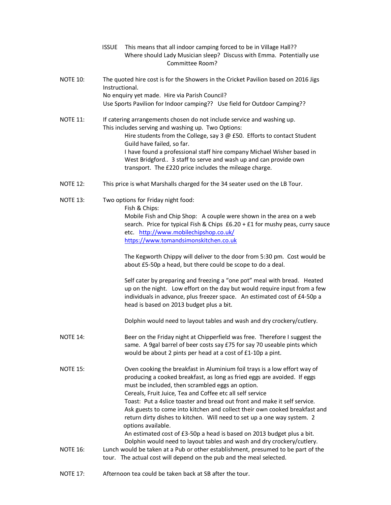- ISSUE This means that all indoor camping forced to be in Village Hall?? Where should Lady Musician sleep? Discuss with Emma. Potentially use Committee Room?
- NOTE 10: The quoted hire cost is for the Showers in the Cricket Pavilion based on 2016 Jigs Instructional. No enquiry yet made. Hire via Parish Council? Use Sports Pavilion for Indoor camping?? Use field for Outdoor Camping??
- NOTE 11: If catering arrangements chosen do not include service and washing up. This includes serving and washing up. Two Options: Hire students from the College, say 3 @ £50. Efforts to contact Student Guild have failed, so far. I have found a professional staff hire company Michael Wisher based in West Bridgford.. 3 staff to serve and wash up and can provide own transport. The £220 price includes the mileage charge.
- NOTE 12: This price is what Marshalls charged for the 34 seater used on the LB Tour.
- NOTE 13: Two options for Friday night food: Fish & Chips: Mobile Fish and Chip Shop: A couple were shown in the area on a web search. Price for typical Fish & Chips £6.20 + £1 for mushy peas, curry sauce etc. http://www.mobilechipshop.co.uk/ https://www.tomandsimonskitchen.co.uk

The Kegworth Chippy will deliver to the door from 5:30 pm. Cost would be about £5-50p a head, but there could be scope to do a deal.

Self cater by preparing and freezing a "one pot" meal with bread. Heated up on the night. Low effort on the day but would require input from a few individuals in advance, plus freezer space. An estimated cost of £4-50p a head is based on 2013 budget plus a bit.

Dolphin would need to layout tables and wash and dry crockery/cutlery.

- NOTE 14: Beer on the Friday night at Chipperfield was free. Therefore I suggest the same. A 9gal barrel of beer costs say £75 for say 70 useable pints which would be about 2 pints per head at a cost of £1-10p a pint.
- NOTE 15: Oven cooking the breakfast in Aluminium foil trays is a low effort way of producing a cooked breakfast, as long as fried eggs are avoided. If eggs must be included, then scrambled eggs an option. Cereals, Fruit Juice, Tea and Coffee etc all self service Toast: Put a 4slice toaster and bread out front and make it self service. Ask guests to come into kitchen and collect their own cooked breakfast and return dirty dishes to kitchen. Will need to set up a one way system. 2 options available. An estimated cost of £3-50p a head is based on 2013 budget plus a bit. Dolphin would need to layout tables and wash and dry crockery/cutlery. NOTE 16: Lunch would be taken at a Pub or other establishment, presumed to be part of the
- tour. The actual cost will depend on the pub and the meal selected.
- NOTE 17: Afternoon tea could be taken back at SB after the tour.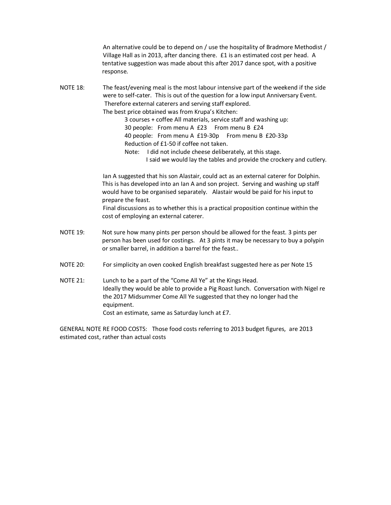An alternative could be to depend on / use the hospitality of Bradmore Methodist / Village Hall as in 2013, after dancing there. £1 is an estimated cost per head. A tentative suggestion was made about this after 2017 dance spot, with a positive response.

NOTE 18: The feast/evening meal is the most labour intensive part of the weekend if the side were to self-cater. This is out of the question for a low input Anniversary Event. Therefore external caterers and serving staff explored. The best price obtained was from Krupa's Kitchen:

> 3 courses + coffee All materials, service staff and washing up: 30 people: From menu A £23 From menu B £24 40 people: From menu A £19-30p From menu B £20-33p Reduction of £1-50 if coffee not taken.

Note: I did not include cheese deliberately, at this stage. I said we would lay the tables and provide the crockery and cutlery.

Ian A suggested that his son Alastair, could act as an external caterer for Dolphin. This is has developed into an Ian A and son project. Serving and washing up staff would have to be organised separately. Alastair would be paid for his input to prepare the feast.

Final discussions as to whether this is a practical proposition continue within the cost of employing an external caterer.

- NOTE 19: Not sure how many pints per person should be allowed for the feast. 3 pints per person has been used for costings. At 3 pints it may be necessary to buy a polypin or smaller barrel, in addition a barrel for the feast..
- NOTE 20: For simplicity an oven cooked English breakfast suggested here as per Note 15
- NOTE 21: Lunch to be a part of the "Come All Ye" at the Kings Head. Ideally they would be able to provide a Pig Roast lunch. Conversation with Nigel re the 2017 Midsummer Come All Ye suggested that they no longer had the equipment. Cost an estimate, same as Saturday lunch at £7.

GENERAL NOTE RE FOOD COSTS: Those food costs referring to 2013 budget figures, are 2013 estimated cost, rather than actual costs